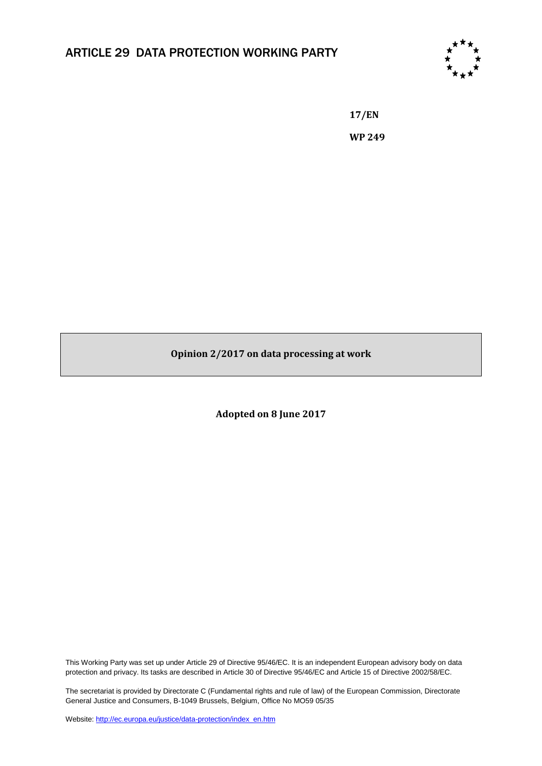## ARTICLE 29 DATA PROTECTION WORKING PARTY



**17/EN WP 249**

**Opinion 2/2017 on data processing at work**

**Adopted on 8 June 2017**

This Working Party was set up under Article 29 of Directive 95/46/EC. It is an independent European advisory body on data protection and privacy. Its tasks are described in Article 30 of Directive 95/46/EC and Article 15 of Directive 2002/58/EC.

The secretariat is provided by Directorate C (Fundamental rights and rule of law) of the European Commission, Directorate General Justice and Consumers, B-1049 Brussels, Belgium, Office No MO59 05/35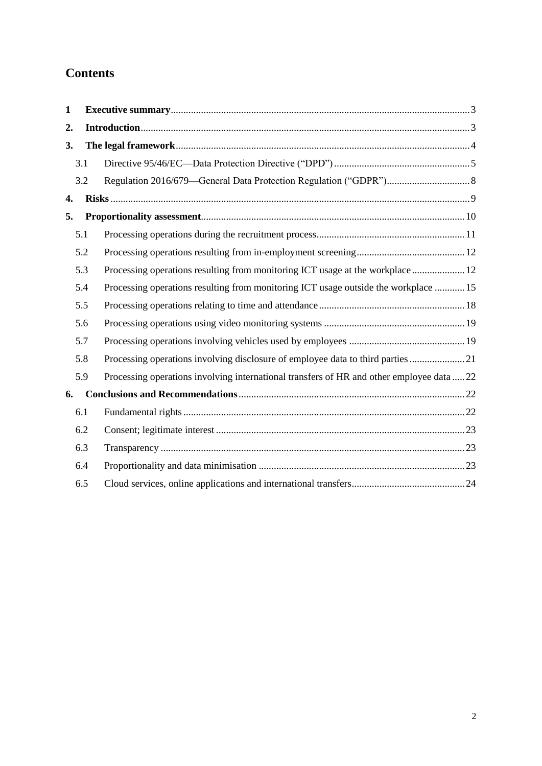# **Contents**

| $\mathbf{1}$ |     |                                                                                           |
|--------------|-----|-------------------------------------------------------------------------------------------|
| 2.           |     |                                                                                           |
| 3.           |     |                                                                                           |
|              | 3.1 |                                                                                           |
|              | 3.2 |                                                                                           |
| 4.           |     |                                                                                           |
| 5.           |     |                                                                                           |
|              | 5.1 |                                                                                           |
|              | 5.2 |                                                                                           |
|              | 5.3 | Processing operations resulting from monitoring ICT usage at the workplace  12            |
|              | 5.4 | Processing operations resulting from monitoring ICT usage outside the workplace  15       |
|              | 5.5 |                                                                                           |
|              | 5.6 |                                                                                           |
|              | 5.7 |                                                                                           |
|              | 5.8 | Processing operations involving disclosure of employee data to third parties 21           |
|              | 5.9 | Processing operations involving international transfers of HR and other employee data  22 |
| 6.           |     |                                                                                           |
|              | 6.1 |                                                                                           |
|              | 6.2 |                                                                                           |
|              | 6.3 |                                                                                           |
|              | 6.4 |                                                                                           |
|              | 6.5 |                                                                                           |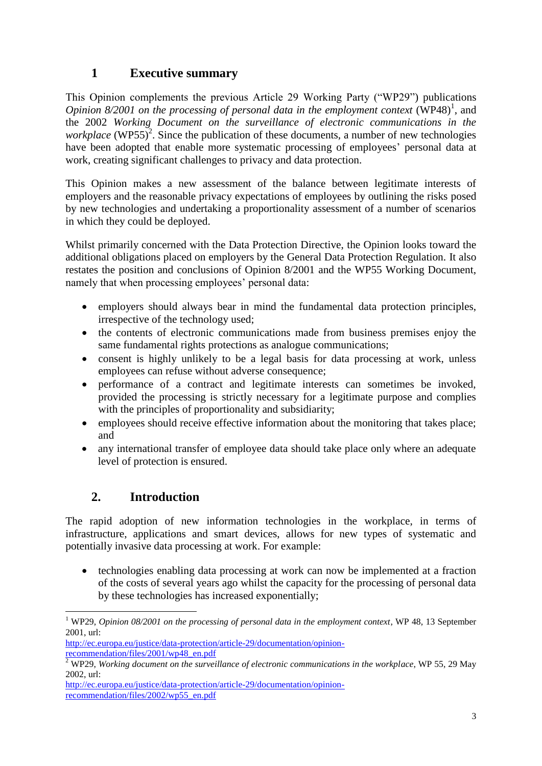## <span id="page-2-0"></span>**1 Executive summary**

This Opinion complements the previous Article 29 Working Party ("WP29") publications Opinion 8/2001 on the processing of personal data in the employment context (WP48)<sup>1</sup>, and the 2002 *Working Document on the surveillance of electronic communications in the workplace* (WP55)<sup>2</sup>. Since the publication of these documents, a number of new technologies have been adopted that enable more systematic processing of employees' personal data at work, creating significant challenges to privacy and data protection.

This Opinion makes a new assessment of the balance between legitimate interests of employers and the reasonable privacy expectations of employees by outlining the risks posed by new technologies and undertaking a proportionality assessment of a number of scenarios in which they could be deployed.

Whilst primarily concerned with the Data Protection Directive, the Opinion looks toward the additional obligations placed on employers by the General Data Protection Regulation. It also restates the position and conclusions of Opinion 8/2001 and the WP55 Working Document, namely that when processing employees' personal data:

- employers should always bear in mind the fundamental data protection principles, irrespective of the technology used;
- the contents of electronic communications made from business premises enjoy the same fundamental rights protections as analogue communications;
- consent is highly unlikely to be a legal basis for data processing at work, unless employees can refuse without adverse consequence;
- performance of a contract and legitimate interests can sometimes be invoked, provided the processing is strictly necessary for a legitimate purpose and complies with the principles of proportionality and subsidiarity;
- employees should receive effective information about the monitoring that takes place; and
- any international transfer of employee data should take place only where an adequate level of protection is ensured.

## **2. Introduction**

-

<span id="page-2-1"></span>The rapid adoption of new information technologies in the workplace, in terms of infrastructure, applications and smart devices, allows for new types of systematic and potentially invasive data processing at work. For example:

• technologies enabling data processing at work can now be implemented at a fraction of the costs of several years ago whilst the capacity for the processing of personal data by these technologies has increased exponentially;

<sup>&</sup>lt;sup>1</sup> WP29, *Opinion 08/2001 on the processing of personal data in the employment context*, WP 48, 13 September 2001, url:

[http://ec.europa.eu/justice/data-protection/article-29/documentation/opinion](http://ec.europa.eu/justice/data-protection/article-29/documentation/opinion-recommendation/files/2001/wp48_en.pdf)[recommendation/files/2001/wp48\\_en.pdf](http://ec.europa.eu/justice/data-protection/article-29/documentation/opinion-recommendation/files/2001/wp48_en.pdf)

<sup>&</sup>lt;sup>2</sup> WP29, *Working document on the surveillance of electronic communications in the workplace*, WP 55, 29 May 2002, url:

[http://ec.europa.eu/justice/data-protection/article-29/documentation/opinion](http://ec.europa.eu/justice/data-protection/article-29/documentation/opinion-recommendation/files/2002/wp55_en.pdf)[recommendation/files/2002/wp55\\_en.pdf](http://ec.europa.eu/justice/data-protection/article-29/documentation/opinion-recommendation/files/2002/wp55_en.pdf)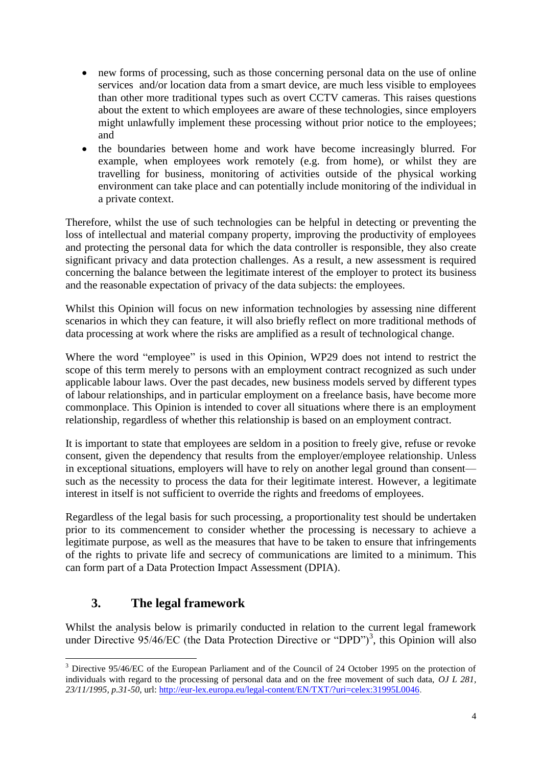- new forms of processing, such as those concerning personal data on the use of online services and/or location data from a smart device, are much less visible to employees than other more traditional types such as overt CCTV cameras. This raises questions about the extent to which employees are aware of these technologies, since employers might unlawfully implement these processing without prior notice to the employees; and
- the boundaries between home and work have become increasingly blurred. For example, when employees work remotely (e.g. from home), or whilst they are travelling for business, monitoring of activities outside of the physical working environment can take place and can potentially include monitoring of the individual in a private context.

Therefore, whilst the use of such technologies can be helpful in detecting or preventing the loss of intellectual and material company property, improving the productivity of employees and protecting the personal data for which the data controller is responsible, they also create significant privacy and data protection challenges. As a result, a new assessment is required concerning the balance between the legitimate interest of the employer to protect its business and the reasonable expectation of privacy of the data subjects: the employees.

Whilst this Opinion will focus on new information technologies by assessing nine different scenarios in which they can feature, it will also briefly reflect on more traditional methods of data processing at work where the risks are amplified as a result of technological change.

Where the word "employee" is used in this Opinion, WP29 does not intend to restrict the scope of this term merely to persons with an employment contract recognized as such under applicable labour laws. Over the past decades, new business models served by different types of labour relationships, and in particular employment on a freelance basis, have become more commonplace. This Opinion is intended to cover all situations where there is an employment relationship, regardless of whether this relationship is based on an employment contract.

It is important to state that employees are seldom in a position to freely give, refuse or revoke consent, given the dependency that results from the employer/employee relationship. Unless in exceptional situations, employers will have to rely on another legal ground than consent such as the necessity to process the data for their legitimate interest. However, a legitimate interest in itself is not sufficient to override the rights and freedoms of employees.

Regardless of the legal basis for such processing, a proportionality test should be undertaken prior to its commencement to consider whether the processing is necessary to achieve a legitimate purpose, as well as the measures that have to be taken to ensure that infringements of the rights to private life and secrecy of communications are limited to a minimum. This can form part of a Data Protection Impact Assessment (DPIA).

## **3. The legal framework**

-

<span id="page-3-0"></span>Whilst the analysis below is primarily conducted in relation to the current legal framework under Directive  $95/46/EC$  (the Data Protection Directive or "DPD")<sup>3</sup>, this Opinion will also

<sup>&</sup>lt;sup>3</sup> Directive 95/46/EC of the European Parliament and of the Council of 24 October 1995 on the protection of individuals with regard to the processing of personal data and on the free movement of such data, *OJ L 281, 23/11/1995, p.31-50*, url: [http://eur-lex.europa.eu/legal-content/EN/TXT/?uri=celex:31995L0046.](http://eur-lex.europa.eu/legal-content/EN/TXT/?uri=celex:31995L0046)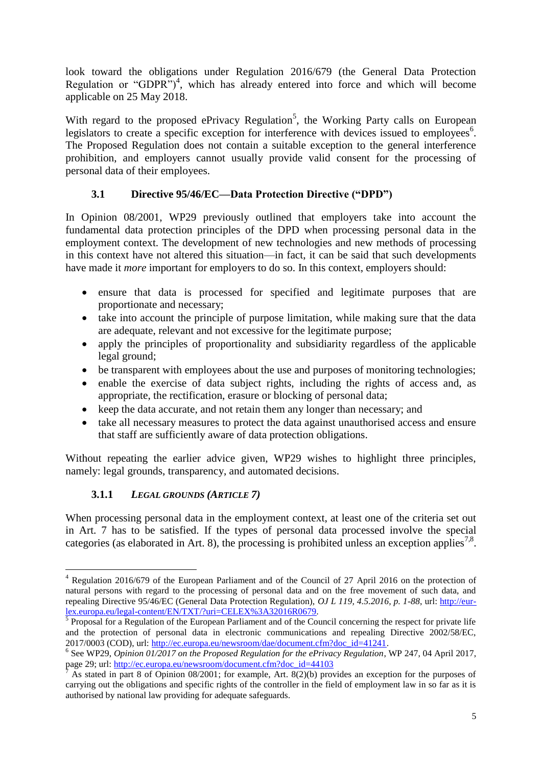look toward the obligations under Regulation 2016/679 (the General Data Protection Regulation or "GDPR")<sup>4</sup>, which has already entered into force and which will become applicable on 25 May 2018.

<span id="page-4-0"></span>With regard to the proposed ePrivacy Regulation<sup>5</sup>, the Working Party calls on European legislators to create a specific exception for interference with devices issued to employees<sup>6</sup>. The Proposed Regulation does not contain a suitable exception to the general interference prohibition, and employers cannot usually provide valid consent for the processing of personal data of their employees.

## **3.1 Directive 95/46/EC—Data Protection Directive ("DPD")**

In Opinion 08/2001, WP29 previously outlined that employers take into account the fundamental data protection principles of the DPD when processing personal data in the employment context. The development of new technologies and new methods of processing in this context have not altered this situation—in fact, it can be said that such developments have made it *more* important for employers to do so. In this context, employers should:

- ensure that data is processed for specified and legitimate purposes that are proportionate and necessary;
- take into account the principle of purpose limitation, while making sure that the data are adequate, relevant and not excessive for the legitimate purpose;
- apply the principles of proportionality and subsidiarity regardless of the applicable legal ground;
- be transparent with employees about the use and purposes of monitoring technologies;
- enable the exercise of data subject rights, including the rights of access and, as appropriate, the rectification, erasure or blocking of personal data;
- keep the data accurate, and not retain them any longer than necessary; and
- take all necessary measures to protect the data against unauthorised access and ensure that staff are sufficiently aware of data protection obligations.

Without repeating the earlier advice given, WP29 wishes to highlight three principles, namely: legal grounds, transparency, and automated decisions.

## **3.1.1** *LEGAL GROUNDS (ARTICLE 7)*

-

When processing personal data in the employment context, at least one of the criteria set out in Art. 7 has to be satisfied. If the types of personal data processed involve the special categories (as elaborated in Art. 8), the processing is prohibited unless an exception applies<sup>7,8</sup>.

<sup>4</sup> Regulation 2016/679 of the European Parliament and of the Council of 27 April 2016 on the protection of natural persons with regard to the processing of personal data and on the free movement of such data, and repealing Directive 95/46/EC (General Data Protection Regulation), *OJ L 119, 4.5.2016, p. 1-88*, url: [http://eur-](http://eur-lex.europa.eu/legal-content/EN/TXT/?uri=CELEX%3A32016R0679)

[lex.europa.eu/legal-content/EN/TXT/?uri=CELEX%3A32016R0679.](http://eur-lex.europa.eu/legal-content/EN/TXT/?uri=CELEX%3A32016R0679)<br><sup>5</sup> Proposal for a Regulation of the European Parliament and of the Council concerning the respect for private life and the protection of personal data in electronic communications and repealing Directive 2002/58/EC, 2017/0003 (COD), url: [http://ec.europa.eu/newsroom/dae/document.cfm?doc\\_id=41241.](http://ec.europa.eu/newsroom/dae/document.cfm?doc_id=41241)

<sup>6</sup> See WP29, *Opinion 01/2017 on the Proposed Regulation for the ePrivacy Regulation*, WP 247, 04 April 2017, page 29; url: [http://ec.europa.eu/newsroom/document.cfm?doc\\_id=44103](http://ec.europa.eu/newsroom/document.cfm?doc_id=44103)

<sup>7</sup> As stated in part 8 of Opinion 08/2001; for example, Art. 8(2)(b) provides an exception for the purposes of carrying out the obligations and specific rights of the controller in the field of employment law in so far as it is authorised by national law providing for adequate safeguards.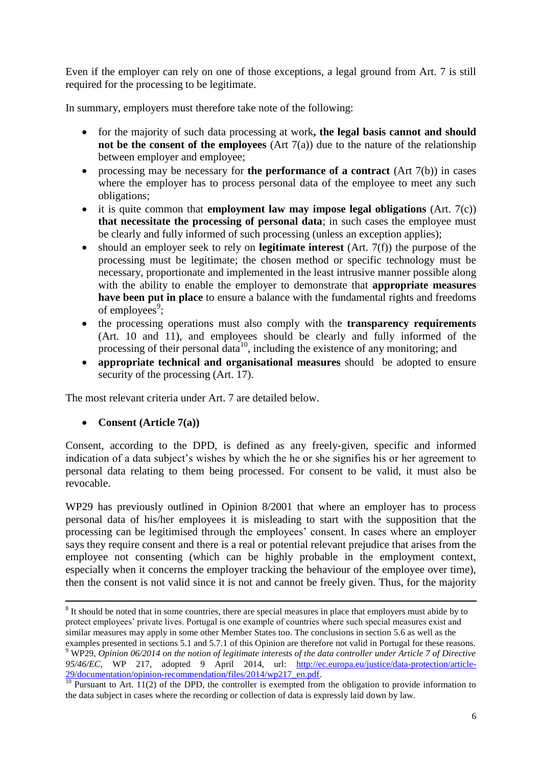Even if the employer can rely on one of those exceptions, a legal ground from Art. 7 is still required for the processing to be legitimate.

In summary, employers must therefore take note of the following:

- for the majority of such data processing at work**, the legal basis cannot and should not be the consent of the employees** (Art  $7(a)$ ) due to the nature of the relationship between employer and employee;
- processing may be necessary for **the performance of a contract** (Art 7(b)) in cases where the employer has to process personal data of the employee to meet any such obligations;
- it is quite common that **employment law may impose legal obligations** (Art. 7(c)) **that necessitate the processing of personal data**; in such cases the employee must be clearly and fully informed of such processing (unless an exception applies);
- should an employer seek to rely on **legitimate interest** (Art. 7(f)) the purpose of the processing must be legitimate; the chosen method or specific technology must be necessary, proportionate and implemented in the least intrusive manner possible along with the ability to enable the employer to demonstrate that **appropriate measures have been put in place** to ensure a balance with the fundamental rights and freedoms of employees<sup>9</sup>;
- the processing operations must also comply with the **transparency requirements** (Art. 10 and 11), and employees should be clearly and fully informed of the processing of their personal data<sup>10</sup>, including the existence of any monitoring; and
- **appropriate technical and organisational measures** should be adopted to ensure security of the processing (Art. 17).

The most relevant criteria under Art. 7 are detailed below.

#### **Consent (Article 7(a))**

Consent, according to the DPD, is defined as any freely-given, specific and informed indication of a data subject's wishes by which the he or she signifies his or her agreement to personal data relating to them being processed. For consent to be valid, it must also be revocable.

WP29 has previously outlined in Opinion 8/2001 that where an employer has to process personal data of his/her employees it is misleading to start with the supposition that the processing can be legitimised through the employees' consent. In cases where an employer says they require consent and there is a real or potential relevant prejudice that arises from the employee not consenting (which can be highly probable in the employment context, especially when it concerns the employer tracking the behaviour of the employee over time), then the consent is not valid since it is not and cannot be freely given. Thus, for the majority

<sup>-</sup> $8$  It should be noted that in some countries, there are special measures in place that employers must abide by to protect employees' private lives. Portugal is one example of countries where such special measures exist and similar measures may apply in some other Member States too. The conclusions in section 5.6 as well as the examples presented in sections 5.1 and 5.7.1 of this Opinion are therefore not valid in Portugal for these reasons. <sup>9</sup> WP29, *Opinion 06/2014 on the notion of legitimate interests of the data controller under Article 7 of Directive 95/46/EC*, WP 217, adopted 9 April 2014, url: [http://ec.europa.eu/justice/data-protection/article-](http://ec.europa.eu/justice/data-protection/article-29/documentation/opinion-recommendation/files/2014/wp217_en.pdf)[29/documentation/opinion-recommendation/files/2014/wp217\\_en.pdf.](http://ec.europa.eu/justice/data-protection/article-29/documentation/opinion-recommendation/files/2014/wp217_en.pdf)

<sup>&</sup>lt;sup>10</sup> Pursuant to Art. 11(2) of the DPD, the controller is exempted from the obligation to provide information to the data subject in cases where the recording or collection of data is expressly laid down by law.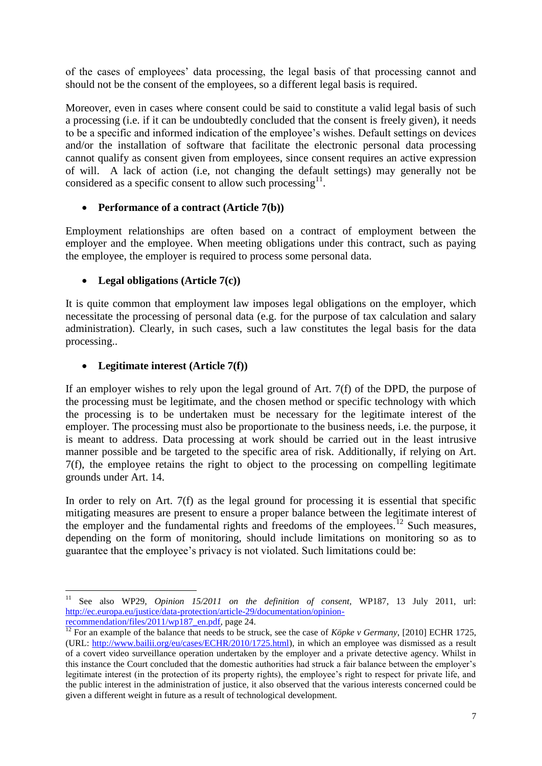of the cases of employees' data processing, the legal basis of that processing cannot and should not be the consent of the employees, so a different legal basis is required.

Moreover, even in cases where consent could be said to constitute a valid legal basis of such a processing (i.e. if it can be undoubtedly concluded that the consent is freely given), it needs to be a specific and informed indication of the employee's wishes. Default settings on devices and/or the installation of software that facilitate the electronic personal data processing cannot qualify as consent given from employees, since consent requires an active expression of will. A lack of action (i.e, not changing the default settings) may generally not be considered as a specific consent to allow such processing $11$ .

#### **Performance of a contract (Article 7(b))**

Employment relationships are often based on a contract of employment between the employer and the employee. When meeting obligations under this contract, such as paying the employee, the employer is required to process some personal data.

#### **Legal obligations (Article 7(c))**

It is quite common that employment law imposes legal obligations on the employer, which necessitate the processing of personal data (e.g. for the purpose of tax calculation and salary administration). Clearly, in such cases, such a law constitutes the legal basis for the data processing..

#### **Legitimate interest (Article 7(f))**

If an employer wishes to rely upon the legal ground of Art. 7(f) of the DPD, the purpose of the processing must be legitimate, and the chosen method or specific technology with which the processing is to be undertaken must be necessary for the legitimate interest of the employer. The processing must also be proportionate to the business needs, i.e. the purpose, it is meant to address. Data processing at work should be carried out in the least intrusive manner possible and be targeted to the specific area of risk. Additionally, if relying on Art. 7(f), the employee retains the right to object to the processing on compelling legitimate grounds under Art. 14.

In order to rely on Art. 7(f) as the legal ground for processing it is essential that specific mitigating measures are present to ensure a proper balance between the legitimate interest of the employer and the fundamental rights and freedoms of the employees.<sup>12</sup> Such measures, depending on the form of monitoring, should include limitations on monitoring so as to guarantee that the employee's privacy is not violated. Such limitations could be:

 $11\,$ <sup>11</sup> See also WP29, *Opinion 15/2011 on the definition of consent,* WP187, 13 July 2011, url: [http://ec.europa.eu/justice/data-protection/article-29/documentation/opinion](http://ec.europa.eu/justice/data-protection/article-29/documentation/opinion-recommendation/files/2011/wp187_en.pdf)[recommendation/files/2011/wp187\\_en.pdf,](http://ec.europa.eu/justice/data-protection/article-29/documentation/opinion-recommendation/files/2011/wp187_en.pdf) page 24.

<sup>&</sup>lt;sup>12</sup> For an example of the balance that needs to be struck, see the case of *Köpke v Germany*, [2010] ECHR 1725, (URL: [http://www.bailii.org/eu/cases/ECHR/2010/1725.html\)](http://www.bailii.org/eu/cases/ECHR/2010/1725.html), in which an employee was dismissed as a result of a covert video surveillance operation undertaken by the employer and a private detective agency. Whilst in this instance the Court concluded that the domestic authorities had struck a fair balance between the employer's legitimate interest (in the protection of its property rights), the employee's right to respect for private life, and the public interest in the administration of justice, it also observed that the various interests concerned could be given a different weight in future as a result of technological development.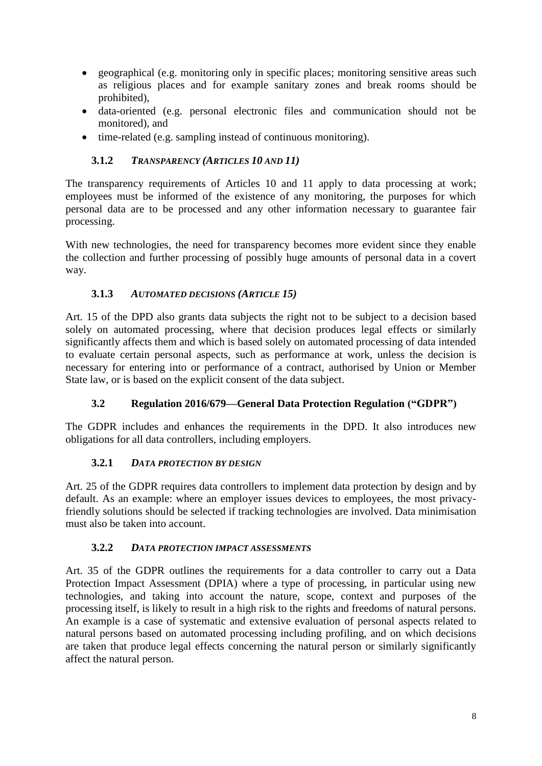- geographical (e.g. monitoring only in specific places; monitoring sensitive areas such as religious places and for example sanitary zones and break rooms should be prohibited),
- data-oriented (e.g. personal electronic files and communication should not be monitored), and
- time-related (e.g. sampling instead of continuous monitoring).

#### **3.1.2** *TRANSPARENCY (ARTICLES 10 AND 11)*

The transparency requirements of Articles 10 and 11 apply to data processing at work; employees must be informed of the existence of any monitoring, the purposes for which personal data are to be processed and any other information necessary to guarantee fair processing.

With new technologies, the need for transparency becomes more evident since they enable the collection and further processing of possibly huge amounts of personal data in a covert way.

#### **3.1.3** *AUTOMATED DECISIONS (ARTICLE 15)*

Art. 15 of the DPD also grants data subjects the right not to be subject to a decision based solely on automated processing, where that decision produces legal effects or similarly significantly affects them and which is based solely on automated processing of data intended to evaluate certain personal aspects, such as performance at work, unless the decision is necessary for entering into or performance of a contract, authorised by Union or Member State law, or is based on the explicit consent of the data subject.

## **3.2 Regulation 2016/679—General Data Protection Regulation ("GDPR")**

<span id="page-7-0"></span>The GDPR includes and enhances the requirements in the DPD. It also introduces new obligations for all data controllers, including employers.

#### **3.2.1** *DATA PROTECTION BY DESIGN*

Art. 25 of the GDPR requires data controllers to implement data protection by design and by default. As an example: where an employer issues devices to employees, the most privacyfriendly solutions should be selected if tracking technologies are involved. Data minimisation must also be taken into account.

#### **3.2.2** *DATA PROTECTION IMPACT ASSESSMENTS*

Art. 35 of the GDPR outlines the requirements for a data controller to carry out a Data Protection Impact Assessment (DPIA) where a type of processing, in particular using new technologies, and taking into account the nature, scope, context and purposes of the processing itself, is likely to result in a high risk to the rights and freedoms of natural persons. An example is a case of systematic and extensive evaluation of personal aspects related to natural persons based on automated processing including profiling, and on which decisions are taken that produce legal effects concerning the natural person or similarly significantly affect the natural person.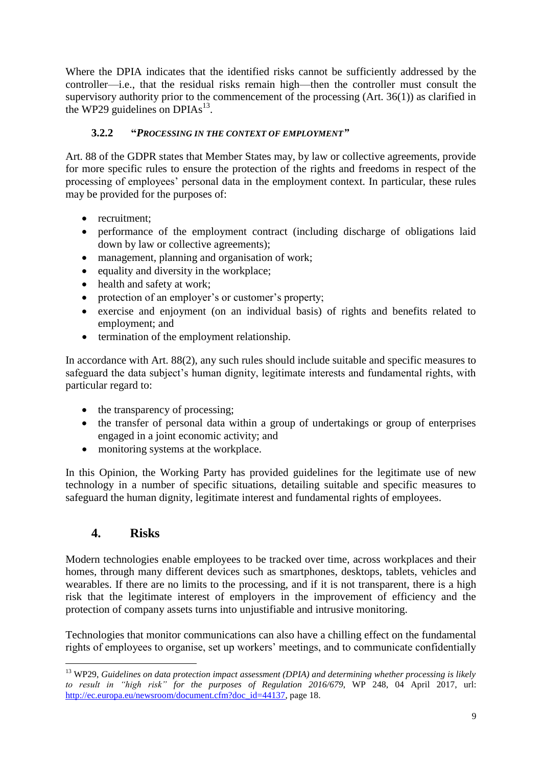Where the DPIA indicates that the identified risks cannot be sufficiently addressed by the controller—i.e., that the residual risks remain high—then the controller must consult the supervisory authority prior to the commencement of the processing (Art. 36(1)) as clarified in the WP29 guidelines on DPIAs $^{13}$ .

## **3.2.2 "***PROCESSING IN THE CONTEXT OF EMPLOYMENT"*

Art. 88 of the GDPR states that Member States may, by law or collective agreements, provide for more specific rules to ensure the protection of the rights and freedoms in respect of the processing of employees' personal data in the employment context. In particular, these rules may be provided for the purposes of:

- recruitment:
- performance of the employment contract (including discharge of obligations laid down by law or collective agreements);
- management, planning and organisation of work;
- $\bullet$  equality and diversity in the workplace;
- health and safety at work;
- protection of an employer's or customer's property;
- exercise and enjoyment (on an individual basis) of rights and benefits related to employment; and
- termination of the employment relationship.

In accordance with Art. 88(2), any such rules should include suitable and specific measures to safeguard the data subject's human dignity, legitimate interests and fundamental rights, with particular regard to:

- the transparency of processing;
- the transfer of personal data within a group of undertakings or group of enterprises engaged in a joint economic activity; and
- monitoring systems at the workplace.

In this Opinion, the Working Party has provided guidelines for the legitimate use of new technology in a number of specific situations, detailing suitable and specific measures to safeguard the human dignity, legitimate interest and fundamental rights of employees.

## **4. Risks**

-

<span id="page-8-0"></span>Modern technologies enable employees to be tracked over time, across workplaces and their homes, through many different devices such as smartphones, desktops, tablets, vehicles and wearables. If there are no limits to the processing, and if it is not transparent, there is a high risk that the legitimate interest of employers in the improvement of efficiency and the protection of company assets turns into unjustifiable and intrusive monitoring.

Technologies that monitor communications can also have a chilling effect on the fundamental rights of employees to organise, set up workers' meetings, and to communicate confidentially

<sup>&</sup>lt;sup>13</sup> WP29, *Guidelines on data protection impact assessment (DPIA) and determining whether processing is likely to result in "high risk" for the purposes of Regulation 2016/679*, WP 248, 04 April 2017, url: [http://ec.europa.eu/newsroom/document.cfm?doc\\_id=44137,](http://ec.europa.eu/newsroom/document.cfm?doc_id=44137) page 18.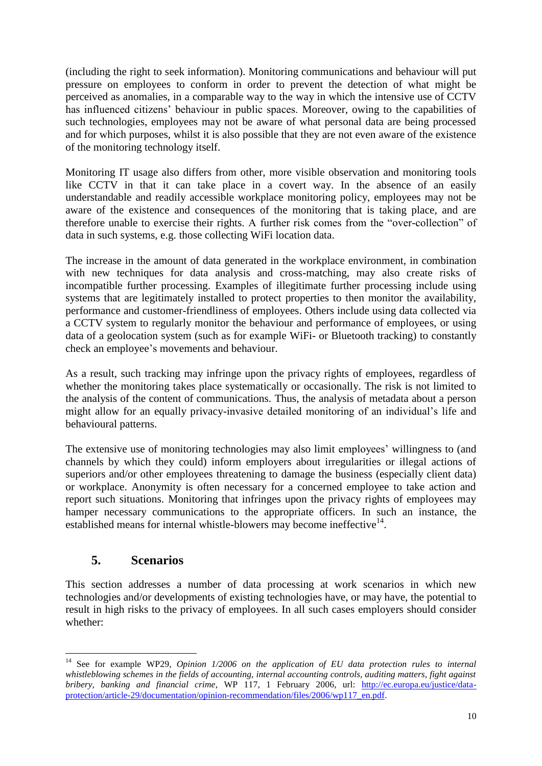(including the right to seek information). Monitoring communications and behaviour will put pressure on employees to conform in order to prevent the detection of what might be perceived as anomalies, in a comparable way to the way in which the intensive use of CCTV has influenced citizens' behaviour in public spaces. Moreover, owing to the capabilities of such technologies, employees may not be aware of what personal data are being processed and for which purposes, whilst it is also possible that they are not even aware of the existence of the monitoring technology itself.

Monitoring IT usage also differs from other, more visible observation and monitoring tools like CCTV in that it can take place in a covert way. In the absence of an easily understandable and readily accessible workplace monitoring policy, employees may not be aware of the existence and consequences of the monitoring that is taking place, and are therefore unable to exercise their rights. A further risk comes from the "over-collection" of data in such systems, e.g. those collecting WiFi location data.

The increase in the amount of data generated in the workplace environment, in combination with new techniques for data analysis and cross-matching, may also create risks of incompatible further processing. Examples of illegitimate further processing include using systems that are legitimately installed to protect properties to then monitor the availability, performance and customer-friendliness of employees. Others include using data collected via a CCTV system to regularly monitor the behaviour and performance of employees, or using data of a geolocation system (such as for example WiFi- or Bluetooth tracking) to constantly check an employee's movements and behaviour.

As a result, such tracking may infringe upon the privacy rights of employees, regardless of whether the monitoring takes place systematically or occasionally. The risk is not limited to the analysis of the content of communications. Thus, the analysis of metadata about a person might allow for an equally privacy-invasive detailed monitoring of an individual's life and behavioural patterns.

The extensive use of monitoring technologies may also limit employees' willingness to (and channels by which they could) inform employers about irregularities or illegal actions of superiors and/or other employees threatening to damage the business (especially client data) or workplace. Anonymity is often necessary for a concerned employee to take action and report such situations. Monitoring that infringes upon the privacy rights of employees may hamper necessary communications to the appropriate officers. In such an instance, the established means for internal whistle-blowers may become ineffective<sup>14</sup>.

## **5. Scenarios**

-

<span id="page-9-0"></span>This section addresses a number of data processing at work scenarios in which new technologies and/or developments of existing technologies have, or may have, the potential to result in high risks to the privacy of employees. In all such cases employers should consider whether:

<sup>&</sup>lt;sup>14</sup> See for example WP29, *Opinion 1/2006 on the application of EU data protection rules to internal whistleblowing schemes in the fields of accounting, internal accounting controls, auditing matters, fight against bribery, banking and financial crime*, WP 117, 1 February 2006, url: [http://ec.europa.eu/justice/data](http://ec.europa.eu/justice/data-protection/article-29/documentation/opinion-recommendation/files/2006/wp117_en.pdf)[protection/article-29/documentation/opinion-recommendation/files/2006/wp117\\_en.pdf.](http://ec.europa.eu/justice/data-protection/article-29/documentation/opinion-recommendation/files/2006/wp117_en.pdf)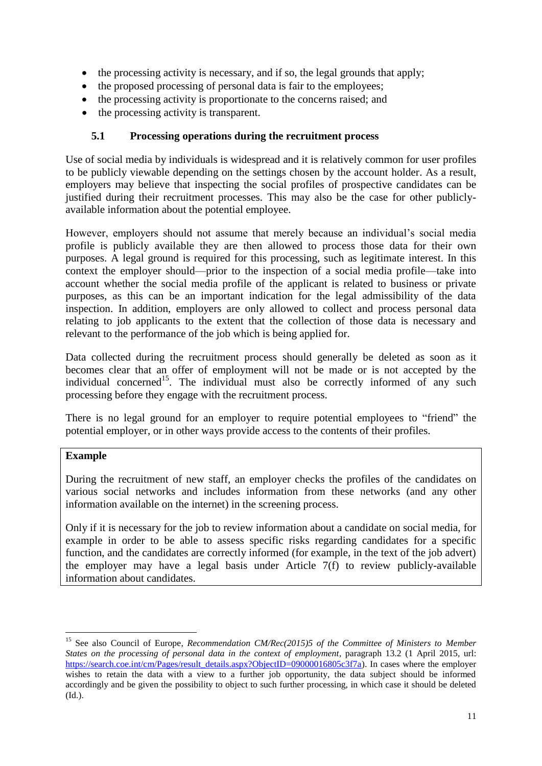- the processing activity is necessary, and if so, the legal grounds that apply;
- the proposed processing of personal data is fair to the employees;
- the processing activity is proportionate to the concerns raised; and
- the processing activity is transparent.

#### **5.1 Processing operations during the recruitment process**

<span id="page-10-0"></span>Use of social media by individuals is widespread and it is relatively common for user profiles to be publicly viewable depending on the settings chosen by the account holder. As a result, employers may believe that inspecting the social profiles of prospective candidates can be justified during their recruitment processes. This may also be the case for other publiclyavailable information about the potential employee.

However, employers should not assume that merely because an individual's social media profile is publicly available they are then allowed to process those data for their own purposes. A legal ground is required for this processing, such as legitimate interest. In this context the employer should—prior to the inspection of a social media profile—take into account whether the social media profile of the applicant is related to business or private purposes, as this can be an important indication for the legal admissibility of the data inspection. In addition, employers are only allowed to collect and process personal data relating to job applicants to the extent that the collection of those data is necessary and relevant to the performance of the job which is being applied for.

Data collected during the recruitment process should generally be deleted as soon as it becomes clear that an offer of employment will not be made or is not accepted by the individual concerned<sup>15</sup>. The individual must also be correctly informed of any such processing before they engage with the recruitment process.

There is no legal ground for an employer to require potential employees to "friend" the potential employer, or in other ways provide access to the contents of their profiles.

#### **Example**

<span id="page-10-1"></span>-

During the recruitment of new staff, an employer checks the profiles of the candidates on various social networks and includes information from these networks (and any other information available on the internet) in the screening process.

Only if it is necessary for the job to review information about a candidate on social media, for example in order to be able to assess specific risks regarding candidates for a specific function, and the candidates are correctly informed (for example, in the text of the job advert) the employer may have a legal basis under Article 7(f) to review publicly-available information about candidates.

<sup>&</sup>lt;sup>15</sup> See also Council of Europe, *Recommendation CM/Rec(2015)5 of the Committee of Ministers to Member States on the processing of personal data in the context of employment*, paragraph 13.2 (1 April 2015, url: [https://search.coe.int/cm/Pages/result\\_details.aspx?ObjectID=09000016805c3f7a\)](https://search.coe.int/cm/Pages/result_details.aspx?ObjectID=09000016805c3f7a). In cases where the employer wishes to retain the data with a view to a further job opportunity, the data subject should be informed accordingly and be given the possibility to object to such further processing, in which case it should be deleted (Id.).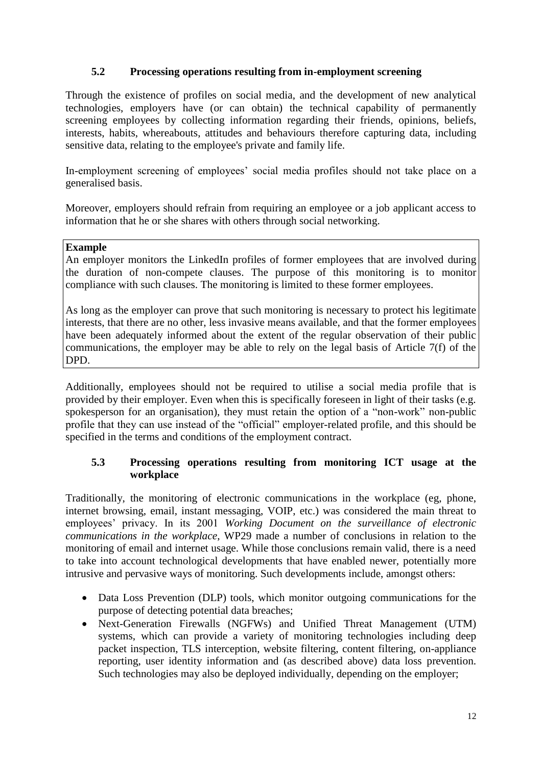#### **5.2 Processing operations resulting from in-employment screening**

Through the existence of profiles on social media, and the development of new analytical technologies, employers have (or can obtain) the technical capability of permanently screening employees by collecting information regarding their friends, opinions, beliefs, interests, habits, whereabouts, attitudes and behaviours therefore capturing data, including sensitive data, relating to the employee's private and family life.

In-employment screening of employees' social media profiles should not take place on a generalised basis.

Moreover, employers should refrain from requiring an employee or a job applicant access to information that he or she shares with others through social networking.

#### **Example**

An employer monitors the LinkedIn profiles of former employees that are involved during the duration of non-compete clauses. The purpose of this monitoring is to monitor compliance with such clauses. The monitoring is limited to these former employees.

As long as the employer can prove that such monitoring is necessary to protect his legitimate interests, that there are no other, less invasive means available, and that the former employees have been adequately informed about the extent of the regular observation of their public communications, the employer may be able to rely on the legal basis of Article 7(f) of the DPD.

Additionally, employees should not be required to utilise a social media profile that is provided by their employer. Even when this is specifically foreseen in light of their tasks (e.g. spokesperson for an organisation), they must retain the option of a "non-work" non-public profile that they can use instead of the "official" employer-related profile, and this should be specified in the terms and conditions of the employment contract.

#### <span id="page-11-0"></span>**5.3 Processing operations resulting from monitoring ICT usage at the workplace**

Traditionally, the monitoring of electronic communications in the workplace (eg, phone, internet browsing, email, instant messaging, VOIP, etc.) was considered the main threat to employees' privacy. In its 2001 *Working Document on the surveillance of electronic communications in the workplace*, WP29 made a number of conclusions in relation to the monitoring of email and internet usage. While those conclusions remain valid, there is a need to take into account technological developments that have enabled newer, potentially more intrusive and pervasive ways of monitoring. Such developments include, amongst others:

- Data Loss Prevention (DLP) tools, which monitor outgoing communications for the purpose of detecting potential data breaches;
- Next-Generation Firewalls (NGFWs) and Unified Threat Management (UTM) systems, which can provide a variety of monitoring technologies including deep packet inspection, TLS interception, website filtering, content filtering, on-appliance reporting, user identity information and (as described above) data loss prevention. Such technologies may also be deployed individually, depending on the employer;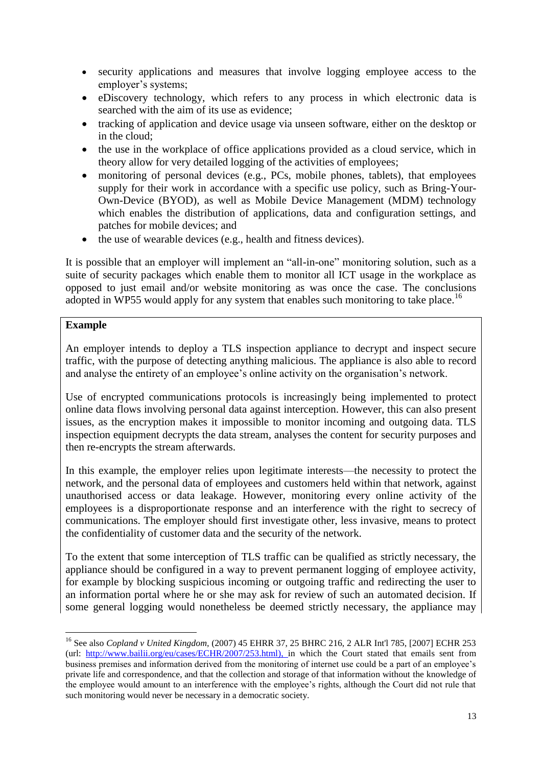- security applications and measures that involve logging employee access to the employer's systems;
- eDiscovery technology, which refers to any process in which electronic data is searched with the aim of its use as evidence;
- tracking of application and device usage via unseen software, either on the desktop or in the cloud;
- the use in the workplace of office applications provided as a cloud service, which in theory allow for very detailed logging of the activities of employees;
- monitoring of personal devices (e.g., PCs, mobile phones, tablets), that employees supply for their work in accordance with a specific use policy, such as Bring-Your-Own-Device (BYOD), as well as Mobile Device Management (MDM) technology which enables the distribution of applications, data and configuration settings, and patches for mobile devices; and
- the use of wearable devices (e.g., health and fitness devices).

It is possible that an employer will implement an "all-in-one" monitoring solution, such as a suite of security packages which enable them to monitor all ICT usage in the workplace as opposed to just email and/or website monitoring as was once the case. The conclusions adopted in WP55 would apply for any system that enables such monitoring to take place.<sup>16</sup>

#### **Example**

-

An employer intends to deploy a TLS inspection appliance to decrypt and inspect secure traffic, with the purpose of detecting anything malicious. The appliance is also able to record and analyse the entirety of an employee's online activity on the organisation's network.

Use of encrypted communications protocols is increasingly being implemented to protect online data flows involving personal data against interception. However, this can also present issues, as the encryption makes it impossible to monitor incoming and outgoing data. TLS inspection equipment decrypts the data stream, analyses the content for security purposes and then re-encrypts the stream afterwards.

In this example, the employer relies upon legitimate interests—the necessity to protect the network, and the personal data of employees and customers held within that network, against unauthorised access or data leakage. However, monitoring every online activity of the employees is a disproportionate response and an interference with the right to secrecy of communications. The employer should first investigate other, less invasive, means to protect the confidentiality of customer data and the security of the network.

To the extent that some interception of TLS traffic can be qualified as strictly necessary, the appliance should be configured in a way to prevent permanent logging of employee activity, for example by blocking suspicious incoming or outgoing traffic and redirecting the user to an information portal where he or she may ask for review of such an automated decision. If some general logging would nonetheless be deemed strictly necessary, the appliance may

<sup>16</sup> See also *Copland v United Kingdom,* (2007) 45 EHRR 37, 25 BHRC 216, 2 ALR Int'l 785, [2007] ECHR 253 (url: [http://www.bailii.org/eu/cases/ECHR/2007/253.html\)](http://www.bailii.org/eu/cases/ECHR/2007/253.html), in which the Court stated that emails sent from business premises and information derived from the monitoring of internet use could be a part of an employee's private life and correspondence, and that the collection and storage of that information without the knowledge of the employee would amount to an interference with the employee's rights, although the Court did not rule that such monitoring would never be necessary in a democratic society.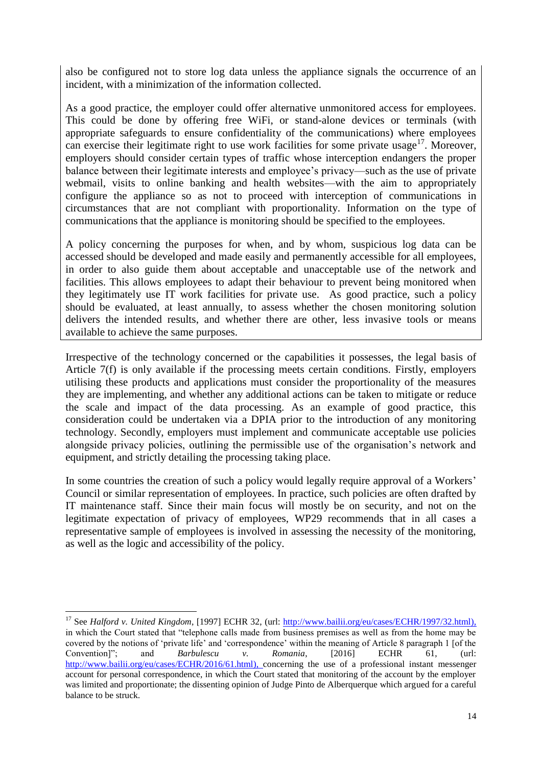also be configured not to store log data unless the appliance signals the occurrence of an incident, with a minimization of the information collected.

As a good practice, the employer could offer alternative unmonitored access for employees. This could be done by offering free WiFi, or stand-alone devices or terminals (with appropriate safeguards to ensure confidentiality of the communications) where employees can exercise their legitimate right to use work facilities for some private usage<sup>17</sup>. Moreover, employers should consider certain types of traffic whose interception endangers the proper balance between their legitimate interests and employee's privacy—such as the use of private webmail, visits to online banking and health websites—with the aim to appropriately configure the appliance so as not to proceed with interception of communications in circumstances that are not compliant with proportionality. Information on the type of communications that the appliance is monitoring should be specified to the employees.

A policy concerning the purposes for when, and by whom, suspicious log data can be accessed should be developed and made easily and permanently accessible for all employees, in order to also guide them about acceptable and unacceptable use of the network and facilities. This allows employees to adapt their behaviour to prevent being monitored when they legitimately use IT work facilities for private use. As good practice, such a policy should be evaluated, at least annually, to assess whether the chosen monitoring solution delivers the intended results, and whether there are other, less invasive tools or means available to achieve the same purposes.

Irrespective of the technology concerned or the capabilities it possesses, the legal basis of Article 7(f) is only available if the processing meets certain conditions. Firstly, employers utilising these products and applications must consider the proportionality of the measures they are implementing, and whether any additional actions can be taken to mitigate or reduce the scale and impact of the data processing. As an example of good practice, this consideration could be undertaken via a DPIA prior to the introduction of any monitoring technology. Secondly, employers must implement and communicate acceptable use policies alongside privacy policies, outlining the permissible use of the organisation's network and equipment, and strictly detailing the processing taking place.

In some countries the creation of such a policy would legally require approval of a Workers' Council or similar representation of employees. In practice, such policies are often drafted by IT maintenance staff. Since their main focus will mostly be on security, and not on the legitimate expectation of privacy of employees, WP29 recommends that in all cases a representative sample of employees is involved in assessing the necessity of the monitoring, as well as the logic and accessibility of the policy.

-

<sup>&</sup>lt;sup>17</sup> See *Halford v. United Kingdom*, [1997] ECHR 32, (url: [http://www.bailii.org/eu/cases/ECHR/1997/32.html\)](http://www.bailii.org/eu/cases/ECHR/1997/32.html), in which the Court stated that "telephone calls made from business premises as well as from the home may be covered by the notions of 'private life' and 'correspondence' within the meaning of Article 8 paragraph 1 [of the Convention]"; and *Barbulescu v. Romania*, [2016] ECHR 61, (url: [http://www.bailii.org/eu/cases/ECHR/2016/61.html\)](http://www.bailii.org/eu/cases/ECHR/2016/61.html), concerning the use of a professional instant messenger account for personal correspondence, in which the Court stated that monitoring of the account by the employer was limited and proportionate; the dissenting opinion of Judge Pinto de Alberquerque which argued for a careful balance to be struck.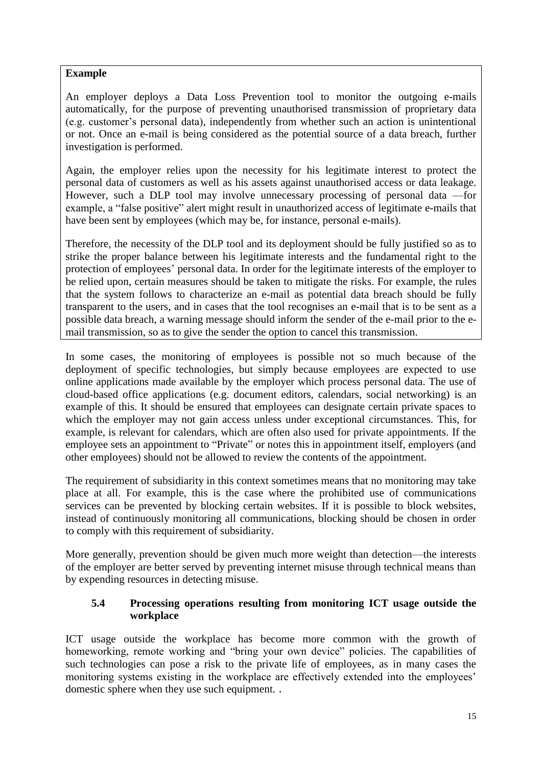#### **Example**

An employer deploys a Data Loss Prevention tool to monitor the outgoing e-mails automatically, for the purpose of preventing unauthorised transmission of proprietary data (e.g. customer's personal data), independently from whether such an action is unintentional or not. Once an e-mail is being considered as the potential source of a data breach, further investigation is performed.

Again, the employer relies upon the necessity for his legitimate interest to protect the personal data of customers as well as his assets against unauthorised access or data leakage. However, such a DLP tool may involve unnecessary processing of personal data —for example, a "false positive" alert might result in unauthorized access of legitimate e-mails that have been sent by employees (which may be, for instance, personal e-mails).

Therefore, the necessity of the DLP tool and its deployment should be fully justified so as to strike the proper balance between his legitimate interests and the fundamental right to the protection of employees' personal data. In order for the legitimate interests of the employer to be relied upon, certain measures should be taken to mitigate the risks. For example, the rules that the system follows to characterize an e-mail as potential data breach should be fully transparent to the users, and in cases that the tool recognises an e-mail that is to be sent as a possible data breach, a warning message should inform the sender of the e-mail prior to the email transmission, so as to give the sender the option to cancel this transmission.

In some cases, the monitoring of employees is possible not so much because of the deployment of specific technologies, but simply because employees are expected to use online applications made available by the employer which process personal data. The use of cloud-based office applications (e.g. document editors, calendars, social networking) is an example of this. It should be ensured that employees can designate certain private spaces to which the employer may not gain access unless under exceptional circumstances. This, for example, is relevant for calendars, which are often also used for private appointments. If the employee sets an appointment to "Private" or notes this in appointment itself, employers (and other employees) should not be allowed to review the contents of the appointment.

The requirement of subsidiarity in this context sometimes means that no monitoring may take place at all. For example, this is the case where the prohibited use of communications services can be prevented by blocking certain websites. If it is possible to block websites, instead of continuously monitoring all communications, blocking should be chosen in order to comply with this requirement of subsidiarity.

More generally, prevention should be given much more weight than detection—the interests of the employer are better served by preventing internet misuse through technical means than by expending resources in detecting misuse.

#### <span id="page-14-0"></span>**5.4 Processing operations resulting from monitoring ICT usage outside the workplace**

ICT usage outside the workplace has become more common with the growth of homeworking, remote working and "bring your own device" policies. The capabilities of such technologies can pose a risk to the private life of employees, as in many cases the monitoring systems existing in the workplace are effectively extended into the employees' domestic sphere when they use such equipment. .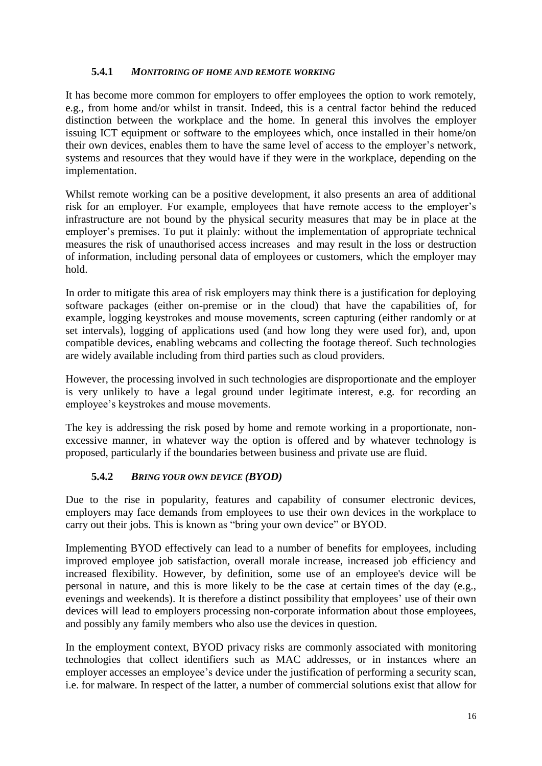#### **5.4.1** *MONITORING OF HOME AND REMOTE WORKING*

It has become more common for employers to offer employees the option to work remotely, e.g., from home and/or whilst in transit. Indeed, this is a central factor behind the reduced distinction between the workplace and the home. In general this involves the employer issuing ICT equipment or software to the employees which, once installed in their home/on their own devices, enables them to have the same level of access to the employer's network, systems and resources that they would have if they were in the workplace, depending on the implementation.

Whilst remote working can be a positive development, it also presents an area of additional risk for an employer. For example, employees that have remote access to the employer's infrastructure are not bound by the physical security measures that may be in place at the employer's premises. To put it plainly: without the implementation of appropriate technical measures the risk of unauthorised access increases and may result in the loss or destruction of information, including personal data of employees or customers, which the employer may hold.

In order to mitigate this area of risk employers may think there is a justification for deploying software packages (either on-premise or in the cloud) that have the capabilities of, for example, logging keystrokes and mouse movements, screen capturing (either randomly or at set intervals), logging of applications used (and how long they were used for), and, upon compatible devices, enabling webcams and collecting the footage thereof. Such technologies are widely available including from third parties such as cloud providers.

However, the processing involved in such technologies are disproportionate and the employer is very unlikely to have a legal ground under legitimate interest, e.g. for recording an employee's keystrokes and mouse movements.

The key is addressing the risk posed by home and remote working in a proportionate, nonexcessive manner, in whatever way the option is offered and by whatever technology is proposed, particularly if the boundaries between business and private use are fluid.

## **5.4.2** *BRING YOUR OWN DEVICE (BYOD)*

Due to the rise in popularity, features and capability of consumer electronic devices, employers may face demands from employees to use their own devices in the workplace to carry out their jobs. This is known as "bring your own device" or BYOD.

Implementing BYOD effectively can lead to a number of benefits for employees, including improved employee job satisfaction, overall morale increase, increased job efficiency and increased flexibility. However, by definition, some use of an employee's device will be personal in nature, and this is more likely to be the case at certain times of the day (e.g., evenings and weekends). It is therefore a distinct possibility that employees' use of their own devices will lead to employers processing non-corporate information about those employees, and possibly any family members who also use the devices in question.

In the employment context, BYOD privacy risks are commonly associated with monitoring technologies that collect identifiers such as MAC addresses, or in instances where an employer accesses an employee's device under the justification of performing a security scan, i.e. for malware. In respect of the latter, a number of commercial solutions exist that allow for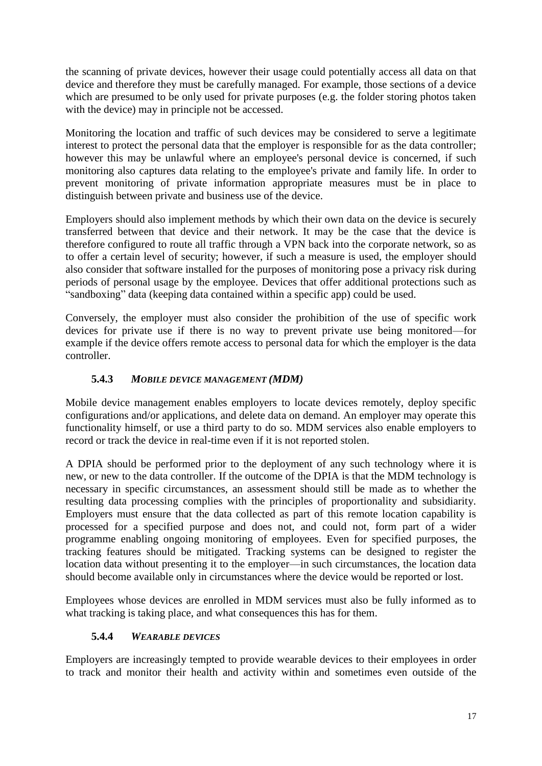the scanning of private devices, however their usage could potentially access all data on that device and therefore they must be carefully managed. For example, those sections of a device which are presumed to be only used for private purposes (e.g. the folder storing photos taken with the device) may in principle not be accessed.

Monitoring the location and traffic of such devices may be considered to serve a legitimate interest to protect the personal data that the employer is responsible for as the data controller; however this may be unlawful where an employee's personal device is concerned, if such monitoring also captures data relating to the employee's private and family life. In order to prevent monitoring of private information appropriate measures must be in place to distinguish between private and business use of the device.

Employers should also implement methods by which their own data on the device is securely transferred between that device and their network. It may be the case that the device is therefore configured to route all traffic through a VPN back into the corporate network, so as to offer a certain level of security; however, if such a measure is used, the employer should also consider that software installed for the purposes of monitoring pose a privacy risk during periods of personal usage by the employee. Devices that offer additional protections such as "sandboxing" data (keeping data contained within a specific app) could be used.

Conversely, the employer must also consider the prohibition of the use of specific work devices for private use if there is no way to prevent private use being monitored—for example if the device offers remote access to personal data for which the employer is the data controller.

## **5.4.3** *MOBILE DEVICE MANAGEMENT (MDM)*

Mobile device management enables employers to locate devices remotely, deploy specific configurations and/or applications, and delete data on demand. An employer may operate this functionality himself, or use a third party to do so. MDM services also enable employers to record or track the device in real-time even if it is not reported stolen.

A DPIA should be performed prior to the deployment of any such technology where it is new, or new to the data controller. If the outcome of the DPIA is that the MDM technology is necessary in specific circumstances, an assessment should still be made as to whether the resulting data processing complies with the principles of proportionality and subsidiarity. Employers must ensure that the data collected as part of this remote location capability is processed for a specified purpose and does not, and could not, form part of a wider programme enabling ongoing monitoring of employees. Even for specified purposes, the tracking features should be mitigated. Tracking systems can be designed to register the location data without presenting it to the employer—in such circumstances, the location data should become available only in circumstances where the device would be reported or lost.

Employees whose devices are enrolled in MDM services must also be fully informed as to what tracking is taking place, and what consequences this has for them.

## **5.4.4** *WEARABLE DEVICES*

Employers are increasingly tempted to provide wearable devices to their employees in order to track and monitor their health and activity within and sometimes even outside of the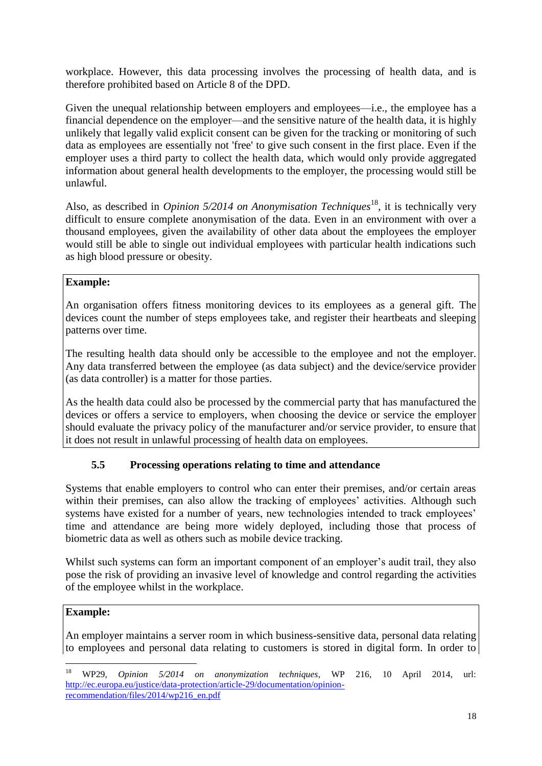workplace. However, this data processing involves the processing of health data, and is therefore prohibited based on Article 8 of the DPD.

Given the unequal relationship between employers and employees—i.e., the employee has a financial dependence on the employer—and the sensitive nature of the health data, it is highly unlikely that legally valid explicit consent can be given for the tracking or monitoring of such data as employees are essentially not 'free' to give such consent in the first place. Even if the employer uses a third party to collect the health data, which would only provide aggregated information about general health developments to the employer, the processing would still be unlawful.

Also, as described in *Opinion 5/2014 on Anonymisation Techniques*<sup>18</sup>, it is technically very difficult to ensure complete anonymisation of the data. Even in an environment with over a thousand employees, given the availability of other data about the employees the employer would still be able to single out individual employees with particular health indications such as high blood pressure or obesity.

#### **Example:**

An organisation offers fitness monitoring devices to its employees as a general gift. The devices count the number of steps employees take, and register their heartbeats and sleeping patterns over time.

The resulting health data should only be accessible to the employee and not the employer. Any data transferred between the employee (as data subject) and the device/service provider (as data controller) is a matter for those parties.

As the health data could also be processed by the commercial party that has manufactured the devices or offers a service to employers, when choosing the device or service the employer should evaluate the privacy policy of the manufacturer and/or service provider, to ensure that it does not result in unlawful processing of health data on employees.

## **5.5 Processing operations relating to time and attendance**

<span id="page-17-0"></span>Systems that enable employers to control who can enter their premises, and/or certain areas within their premises, can also allow the tracking of employees' activities. Although such systems have existed for a number of years, new technologies intended to track employees' time and attendance are being more widely deployed, including those that process of biometric data as well as others such as mobile device tracking.

Whilst such systems can form an important component of an employer's audit trail, they also pose the risk of providing an invasive level of knowledge and control regarding the activities of the employee whilst in the workplace.

## **Example:**

-

An employer maintains a server room in which business-sensitive data, personal data relating to employees and personal data relating to customers is stored in digital form. In order to

<sup>18</sup> WP29, *Opinion 5/2014 on anonymization techniques*, WP 216, 10 April 2014, url: [http://ec.europa.eu/justice/data-protection/article-29/documentation/opinion](http://ec.europa.eu/justice/data-protection/article-29/documentation/opinion-recommendation/files/2014/wp216_en.pdf)[recommendation/files/2014/wp216\\_en.pdf](http://ec.europa.eu/justice/data-protection/article-29/documentation/opinion-recommendation/files/2014/wp216_en.pdf)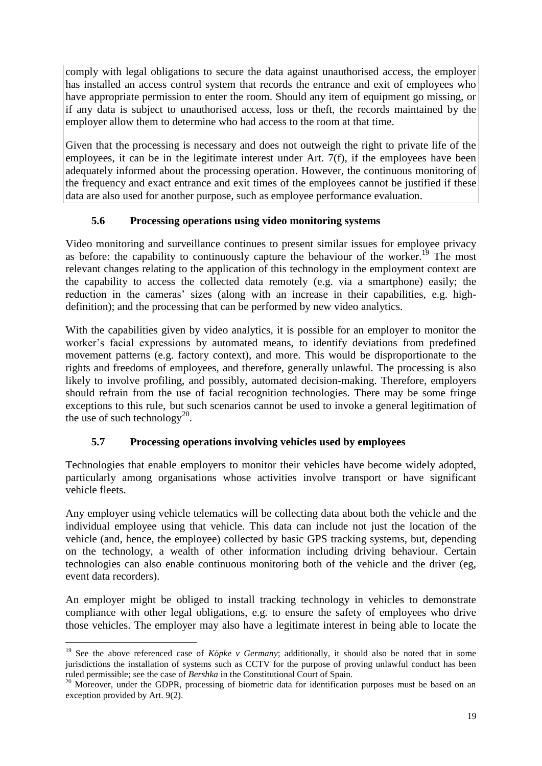comply with legal obligations to secure the data against unauthorised access, the employer has installed an access control system that records the entrance and exit of employees who have appropriate permission to enter the room. Should any item of equipment go missing, or if any data is subject to unauthorised access, loss or theft, the records maintained by the employer allow them to determine who had access to the room at that time.

Given that the processing is necessary and does not outweigh the right to private life of the employees, it can be in the legitimate interest under Art. 7(f), if the employees have been adequately informed about the processing operation. However, the continuous monitoring of the frequency and exact entrance and exit times of the employees cannot be justified if these data are also used for another purpose, such as employee performance evaluation.

## **5.6 Processing operations using video monitoring systems**

<span id="page-18-0"></span>Video monitoring and surveillance continues to present similar issues for employee privacy as before: the capability to continuously capture the behaviour of the worker.<sup>19</sup> The most relevant changes relating to the application of this technology in the employment context are the capability to access the collected data remotely (e.g. via a smartphone) easily; the reduction in the cameras' sizes (along with an increase in their capabilities, e.g. highdefinition); and the processing that can be performed by new video analytics.

With the capabilities given by video analytics, it is possible for an employer to monitor the worker's facial expressions by automated means, to identify deviations from predefined movement patterns (e.g. factory context), and more. This would be disproportionate to the rights and freedoms of employees, and therefore, generally unlawful. The processing is also likely to involve profiling, and possibly, automated decision-making. Therefore, employers should refrain from the use of facial recognition technologies. There may be some fringe exceptions to this rule, but such scenarios cannot be used to invoke a general legitimation of the use of such technology<sup>20</sup>.

## **5.7 Processing operations involving vehicles used by employees**

<span id="page-18-1"></span>Technologies that enable employers to monitor their vehicles have become widely adopted, particularly among organisations whose activities involve transport or have significant vehicle fleets.

Any employer using vehicle telematics will be collecting data about both the vehicle and the individual employee using that vehicle. This data can include not just the location of the vehicle (and, hence, the employee) collected by basic GPS tracking systems, but, depending on the technology, a wealth of other information including driving behaviour. Certain technologies can also enable continuous monitoring both of the vehicle and the driver (eg, event data recorders).

An employer might be obliged to install tracking technology in vehicles to demonstrate compliance with other legal obligations, e.g. to ensure the safety of employees who drive those vehicles. The employer may also have a legitimate interest in being able to locate the

-

<sup>&</sup>lt;sup>19</sup> See the above referenced case of *Köpke v Germany*; additionally, it should also be noted that in some jurisdictions the installation of systems such as CCTV for the purpose of proving unlawful conduct has been ruled permissible; see the case of *Bershka* in the Constitutional Court of Spain.

<sup>&</sup>lt;sup>20</sup> Moreover, under the GDPR, processing of biometric data for identification purposes must be based on an <sup>20</sup> exception provided by Art. 9(2).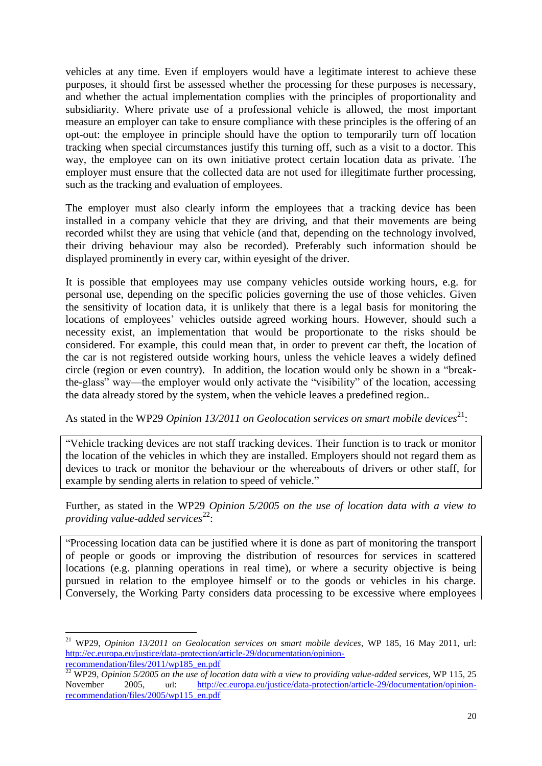vehicles at any time. Even if employers would have a legitimate interest to achieve these purposes, it should first be assessed whether the processing for these purposes is necessary, and whether the actual implementation complies with the principles of proportionality and subsidiarity. Where private use of a professional vehicle is allowed, the most important measure an employer can take to ensure compliance with these principles is the offering of an opt-out: the employee in principle should have the option to temporarily turn off location tracking when special circumstances justify this turning off, such as a visit to a doctor. This way, the employee can on its own initiative protect certain location data as private. The employer must ensure that the collected data are not used for illegitimate further processing, such as the tracking and evaluation of employees.

The employer must also clearly inform the employees that a tracking device has been installed in a company vehicle that they are driving, and that their movements are being recorded whilst they are using that vehicle (and that, depending on the technology involved, their driving behaviour may also be recorded). Preferably such information should be displayed prominently in every car, within eyesight of the driver.

It is possible that employees may use company vehicles outside working hours, e.g. for personal use, depending on the specific policies governing the use of those vehicles. Given the sensitivity of location data, it is unlikely that there is a legal basis for monitoring the locations of employees' vehicles outside agreed working hours. However, should such a necessity exist, an implementation that would be proportionate to the risks should be considered. For example, this could mean that, in order to prevent car theft, the location of the car is not registered outside working hours, unless the vehicle leaves a widely defined circle (region or even country). In addition, the location would only be shown in a "breakthe-glass" way—the employer would only activate the "visibility" of the location, accessing the data already stored by the system, when the vehicle leaves a predefined region..

As stated in the WP29 *Opinion 13/2011* on Geolocation services on smart mobile devices<sup>21</sup>:

"Vehicle tracking devices are not staff tracking devices. Their function is to track or monitor the location of the vehicles in which they are installed. Employers should not regard them as devices to track or monitor the behaviour or the whereabouts of drivers or other staff, for example by sending alerts in relation to speed of vehicle."

Further, as stated in the WP29 *Opinion 5/2005 on the use of location data with a view to*  providing value-added services<sup>22</sup>:

"Processing location data can be justified where it is done as part of monitoring the transport of people or goods or improving the distribution of resources for services in scattered locations (e.g. planning operations in real time), or where a security objective is being pursued in relation to the employee himself or to the goods or vehicles in his charge. Conversely, the Working Party considers data processing to be excessive where employees

-

<sup>21</sup> WP29, *Opinion 13/2011 on Geolocation services on smart mobile devices,* WP 185, 16 May 2011, url: [http://ec.europa.eu/justice/data-protection/article-29/documentation/opinion](http://ec.europa.eu/justice/data-protection/article-29/documentation/opinion-recommendation/files/2011/wp185_en.pdf)[recommendation/files/2011/wp185\\_en.pdf](http://ec.europa.eu/justice/data-protection/article-29/documentation/opinion-recommendation/files/2011/wp185_en.pdf)

 $\overline{22}$  WP29, *Opinion 5/2005 on the use of location data with a view to providing value-added services*, WP 115, 25 November 2005, url: [http://ec.europa.eu/justice/data-protection/article-29/documentation/opinion](http://ec.europa.eu/justice/data-protection/article-29/documentation/opinion-recommendation/files/2005/wp115_en.pdf)[recommendation/files/2005/wp115\\_en.pdf](http://ec.europa.eu/justice/data-protection/article-29/documentation/opinion-recommendation/files/2005/wp115_en.pdf)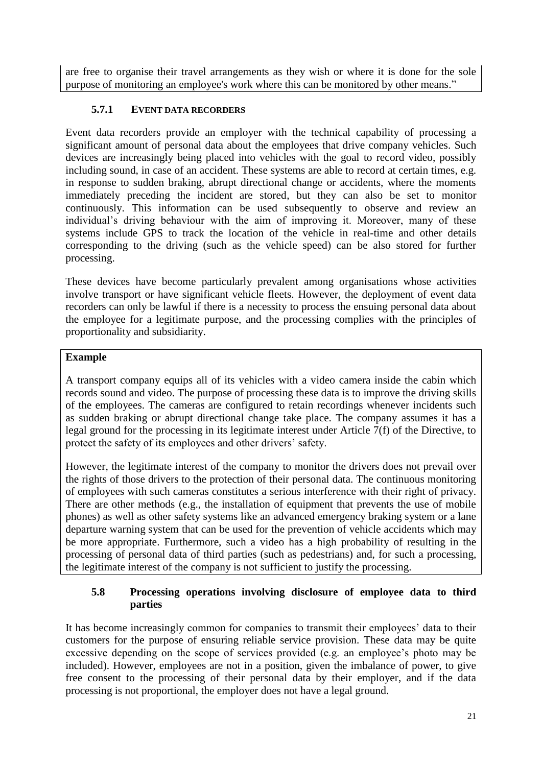are free to organise their travel arrangements as they wish or where it is done for the sole purpose of monitoring an employee's work where this can be monitored by other means."

### **5.7.1 EVENT DATA RECORDERS**

Event data recorders provide an employer with the technical capability of processing a significant amount of personal data about the employees that drive company vehicles. Such devices are increasingly being placed into vehicles with the goal to record video, possibly including sound, in case of an accident. These systems are able to record at certain times, e.g. in response to sudden braking, abrupt directional change or accidents, where the moments immediately preceding the incident are stored, but they can also be set to monitor continuously. This information can be used subsequently to observe and review an individual's driving behaviour with the aim of improving it. Moreover, many of these systems include GPS to track the location of the vehicle in real-time and other details corresponding to the driving (such as the vehicle speed) can be also stored for further processing.

These devices have become particularly prevalent among organisations whose activities involve transport or have significant vehicle fleets. However, the deployment of event data recorders can only be lawful if there is a necessity to process the ensuing personal data about the employee for a legitimate purpose, and the processing complies with the principles of proportionality and subsidiarity.

#### **Example**

A transport company equips all of its vehicles with a video camera inside the cabin which records sound and video. The purpose of processing these data is to improve the driving skills of the employees. The cameras are configured to retain recordings whenever incidents such as sudden braking or abrupt directional change take place. The company assumes it has a legal ground for the processing in its legitimate interest under Article 7(f) of the Directive, to protect the safety of its employees and other drivers' safety.

However, the legitimate interest of the company to monitor the drivers does not prevail over the rights of those drivers to the protection of their personal data. The continuous monitoring of employees with such cameras constitutes a serious interference with their right of privacy. There are other methods (e.g., the installation of equipment that prevents the use of mobile phones) as well as other safety systems like an advanced emergency braking system or a lane departure warning system that can be used for the prevention of vehicle accidents which may be more appropriate. Furthermore, such a video has a high probability of resulting in the processing of personal data of third parties (such as pedestrians) and, for such a processing, the legitimate interest of the company is not sufficient to justify the processing.

#### <span id="page-20-0"></span>**5.8 Processing operations involving disclosure of employee data to third parties**

It has become increasingly common for companies to transmit their employees' data to their customers for the purpose of ensuring reliable service provision. These data may be quite excessive depending on the scope of services provided (e.g. an employee's photo may be included). However, employees are not in a position, given the imbalance of power, to give free consent to the processing of their personal data by their employer, and if the data processing is not proportional, the employer does not have a legal ground.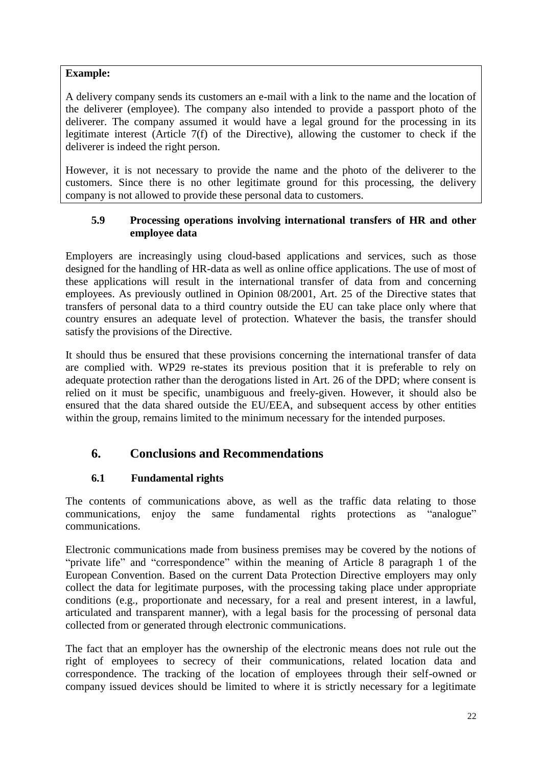#### **Example:**

A delivery company sends its customers an e-mail with a link to the name and the location of the deliverer (employee). The company also intended to provide a passport photo of the deliverer. The company assumed it would have a legal ground for the processing in its legitimate interest (Article 7(f) of the Directive), allowing the customer to check if the deliverer is indeed the right person.

However, it is not necessary to provide the name and the photo of the deliverer to the customers. Since there is no other legitimate ground for this processing, the delivery company is not allowed to provide these personal data to customers.

#### <span id="page-21-0"></span>**5.9 Processing operations involving international transfers of HR and other employee data**

Employers are increasingly using cloud-based applications and services, such as those designed for the handling of HR-data as well as online office applications. The use of most of these applications will result in the international transfer of data from and concerning employees. As previously outlined in Opinion 08/2001, Art. 25 of the Directive states that transfers of personal data to a third country outside the EU can take place only where that country ensures an adequate level of protection. Whatever the basis, the transfer should satisfy the provisions of the Directive.

It should thus be ensured that these provisions concerning the international transfer of data are complied with. WP29 re-states its previous position that it is preferable to rely on adequate protection rather than the derogations listed in Art. 26 of the DPD; where consent is relied on it must be specific, unambiguous and freely-given. However, it should also be ensured that the data shared outside the EU/EEA, and subsequent access by other entities within the group, remains limited to the minimum necessary for the intended purposes.

## <span id="page-21-1"></span>**6. Conclusions and Recommendations**

## **6.1 Fundamental rights**

<span id="page-21-2"></span>The contents of communications above, as well as the traffic data relating to those communications, enjoy the same fundamental rights protections as "analogue" communications.

Electronic communications made from business premises may be covered by the notions of "private life" and "correspondence" within the meaning of Article 8 paragraph 1 of the European Convention. Based on the current Data Protection Directive employers may only collect the data for legitimate purposes, with the processing taking place under appropriate conditions (e.g., proportionate and necessary, for a real and present interest, in a lawful, articulated and transparent manner), with a legal basis for the processing of personal data collected from or generated through electronic communications.

The fact that an employer has the ownership of the electronic means does not rule out the right of employees to secrecy of their communications, related location data and correspondence. The tracking of the location of employees through their self-owned or company issued devices should be limited to where it is strictly necessary for a legitimate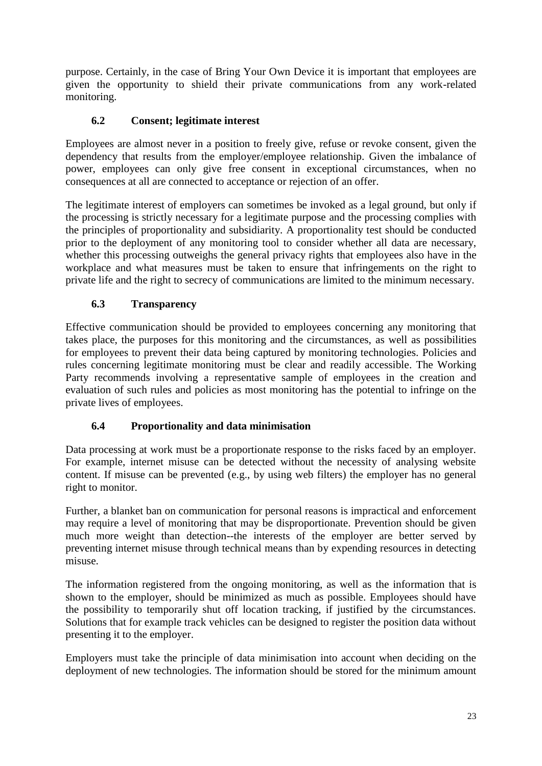purpose. Certainly, in the case of Bring Your Own Device it is important that employees are given the opportunity to shield their private communications from any work-related monitoring.

## **6.2 Consent; legitimate interest**

<span id="page-22-0"></span>Employees are almost never in a position to freely give, refuse or revoke consent, given the dependency that results from the employer/employee relationship. Given the imbalance of power, employees can only give free consent in exceptional circumstances, when no consequences at all are connected to acceptance or rejection of an offer.

The legitimate interest of employers can sometimes be invoked as a legal ground, but only if the processing is strictly necessary for a legitimate purpose and the processing complies with the principles of proportionality and subsidiarity. A proportionality test should be conducted prior to the deployment of any monitoring tool to consider whether all data are necessary, whether this processing outweighs the general privacy rights that employees also have in the workplace and what measures must be taken to ensure that infringements on the right to private life and the right to secrecy of communications are limited to the minimum necessary.

## **6.3 Transparency**

<span id="page-22-1"></span>Effective communication should be provided to employees concerning any monitoring that takes place, the purposes for this monitoring and the circumstances, as well as possibilities for employees to prevent their data being captured by monitoring technologies. Policies and rules concerning legitimate monitoring must be clear and readily accessible. The Working Party recommends involving a representative sample of employees in the creation and evaluation of such rules and policies as most monitoring has the potential to infringe on the private lives of employees.

## **6.4 Proportionality and data minimisation**

<span id="page-22-2"></span>Data processing at work must be a proportionate response to the risks faced by an employer. For example, internet misuse can be detected without the necessity of analysing website content. If misuse can be prevented (e.g., by using web filters) the employer has no general right to monitor.

Further, a blanket ban on communication for personal reasons is impractical and enforcement may require a level of monitoring that may be disproportionate. Prevention should be given much more weight than detection--the interests of the employer are better served by preventing internet misuse through technical means than by expending resources in detecting misuse.

The information registered from the ongoing monitoring, as well as the information that is shown to the employer, should be minimized as much as possible. Employees should have the possibility to temporarily shut off location tracking, if justified by the circumstances. Solutions that for example track vehicles can be designed to register the position data without presenting it to the employer.

Employers must take the principle of data minimisation into account when deciding on the deployment of new technologies. The information should be stored for the minimum amount